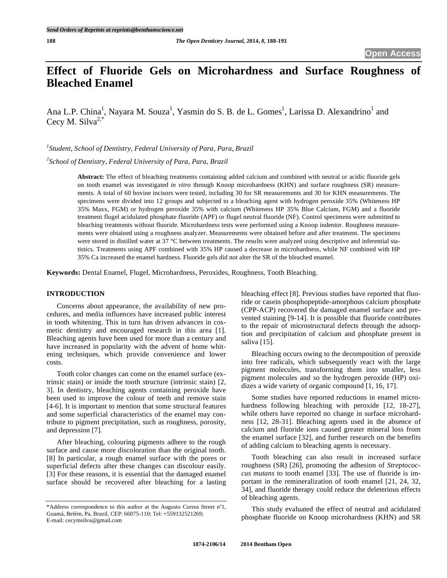# **Effect of Fluoride Gels on Microhardness and Surface Roughness of Bleached Enamel**

Ana L.P. China<sup>1</sup>, Nayara M. Souza<sup>1</sup>, Yasmin do S. B. de L. Gomes<sup>1</sup>, Larissa D. Alexandrino<sup>1</sup> and Cecy M. Silva<sup>2,\*</sup>

*1 Student, School of Dentistry, Federal University of Para, Para, Brazil* 

*2 School of Dentistry, Federal University of Para, Para, Brazil* 

**Abstract:** The effect of bleaching treatments containing added calcium and combined with neutral or acidic fluoride gels on tooth enamel was investigated *in vitro* through Knoop microhardness (KHN) and surface roughness (SR) measurements. A total of 60 bovine incisors were tested, including 30 for SR measurements and 30 for KHN measurements. The specimens were divided into 12 groups and subjected to a bleaching agent with hydrogen peroxide 35% (Whiteness HP 35% Maxx, FGM) or hydrogen peroxide 35% with calcium (Whiteness HP 35% Blue Calcium, FGM) and a fluoride treatment flugel acidulated phosphate fluoride (APF) or flugel neutral fluoride (NF). Control specimens were submitted to bleaching treatments without fluoride. Microhardness tests were performed using a Knoop indentor. Roughness measurements were obtained using a roughness analyzer. Measurements were obtained before and after treatment. The specimens were stored in distilled water at 37 °C between treatments. The results were analyzed using descriptive and inferential statistics. Treatments using APF combined with 35% HP caused a decrease in microhardness, while NF combined with HP 35% Ca increased the enamel hardness. Fluoride gels did not alter the SR of the bleached enamel.

**Keywords:** Dental Enamel, Flugel, Microhardness, Peroxides, Roughness, Tooth Bleaching.

# **INTRODUCTION**

Concerns about appearance, the availability of new procedures, and media influences have increased public interest in tooth whitening. This in turn has driven advances in cosmetic dentistry and encouraged research in this area [1]. Bleaching agents have been used for more than a century and have increased in popularity with the advent of home whitening techniques, which provide convenience and lower costs.

Tooth color changes can come on the enamel surface (extrinsic stain) or inside the tooth structure (intrinsic stain) [2, 3]. In dentistry, bleaching agents containing peroxide have been used to improve the colour of teeth and remove stain [4-6]. It is important to mention that some structural features and some superficial characteristics of the enamel may contribute to pigment precipitation, such as roughness, porosity, and depression [7].

After bleaching, colouring pigments adhere to the rough surface and cause more discoloration than the original tooth. [8] In particular, a rough enamel surface with the pores or superficial defects after these changes can discolour easily. [3] For these reasons, it is essential that the damaged enamel surface should be recovered after bleaching for a lasting bleaching effect [8]. Previous studies have reported that fluoride or casein phosphopeptide-amorphous calcium phosphate (CPP-ACP) recovered the damaged enamel surface and prevented staining [9-14]. It is possible that fluoride contributes to the repair of microstructural defects through the adsorption and precipitation of calcium and phosphate present in saliva [15].

Bleaching occurs owing to the decomposition of peroxide into free radicals, which subsequently react with the large pigment molecules, transforming them into smaller, less pigment molecules and so the hydrogen peroxide (HP) oxidizes a wide variety of organic compound [1, 16, 17].

Some studies have reported reductions in enamel microhardness following bleaching with peroxide [12, 18-27], while others have reported no change in surface microhardness [12, 28-31]. Bleaching agents used in the absence of calcium and fluoride ions caused greater mineral loss from the enamel surface [32], and further research on the benefits of adding calcium to bleaching agents is necessary.

Tooth bleaching can also result in increased surface roughness (SR) [26], promoting the adhesion of *Streptococcus mutans* to tooth enamel [33]. The use of fluoride is important in the remineralization of tooth enamel [21, 24, 32, 34], and fluoride therapy could reduce the deleterious effects of bleaching agents.

This study evaluated the effect of neutral and acidulated phosphate fluoride on Knoop microhardness (KHN) and SR

<sup>\*</sup>Address correspondence to this author at the Augusto Correa Street  $n^{\circ}1$ , Guamá, Belém, Pa, Brazil, CEP: 66075-110; Tel: +559132521269; E-mail: cecymsilva@gmail.com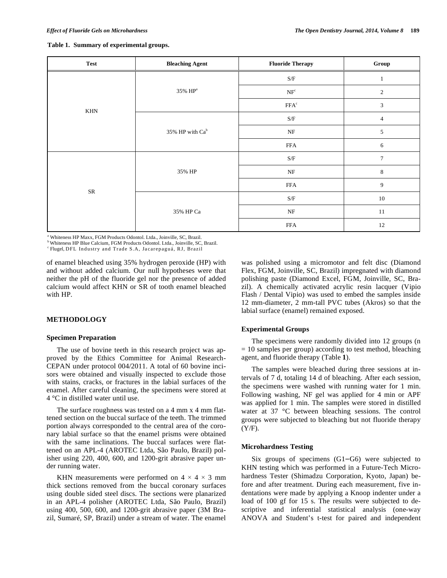|  |  |  | Table 1. Summary of experimental groups. |  |
|--|--|--|------------------------------------------|--|
|--|--|--|------------------------------------------|--|

| <b>Test</b>          | <b>Bleaching Agent</b> | <b>Fluoride Therapy</b>                                         | Group            |
|----------------------|------------------------|-----------------------------------------------------------------|------------------|
| $\operatorname{KHN}$ |                        | $\ensuremath{\mathrm{S}}\xspace/\ensuremath{\mathrm{F}}\xspace$ | J.               |
|                      | 35% HP <sup>a</sup>    | NF <sup>c</sup>                                                 | $\boldsymbol{2}$ |
|                      |                        | FFA <sup>c</sup>                                                | 3                |
|                      | 35% HP with $Ca^b$     | $\ensuremath{\mathrm{S}}\xspace/\ensuremath{\mathrm{F}}\xspace$ | $\overline{4}$   |
|                      |                        | $\rm{NF}$                                                       | 5                |
|                      |                        | <b>FFA</b>                                                      | 6                |
| ${\rm SR}$           | 35% HP                 | $\ensuremath{\mathrm{S}}\xspace/\ensuremath{\mathrm{F}}\xspace$ | $\overline{7}$   |
|                      |                        | $\rm{NF}$                                                       | $\,8\,$          |
|                      |                        | <b>FFA</b>                                                      | 9                |
|                      | 35% HP Ca              | $\ensuremath{\mathrm{S}}\xspace/\ensuremath{\mathrm{F}}\xspace$ | $10\,$           |
|                      |                        | $\rm{NF}$                                                       | $11\,$           |
|                      |                        | <b>FFA</b>                                                      | 12               |

Whiteness HP Maxx, FGM Products Odontol. Ltda., Joinville, SC, Brazil.

Whiteness HP Blue Calcium, FGM Products Odontol. Ltda., Joinville, SC, Brazil.

Flugel, DFL Industry and Trade S.A, Jacarepaguá, RJ, Brazil

of enamel bleached using 35% hydrogen peroxide (HP) with and without added calcium. Our null hypotheses were that neither the pH of the fluoride gel nor the presence of added calcium would affect KHN or SR of tooth enamel bleached with HP.

#### **METHODOLOGY**

## **Specimen Preparation**

The use of bovine teeth in this research project was approved by the Ethics Committee for Animal Research-CEPAN under protocol 004/2011. A total of 60 bovine incisors were obtained and visually inspected to exclude those with stains, cracks, or fractures in the labial surfaces of the enamel. After careful cleaning, the specimens were stored at 4 °C in distilled water until use.

The surface roughness was tested on a 4 mm x 4 mm flattened section on the buccal surface of the teeth. The trimmed portion always corresponded to the central area of the coronary labial surface so that the enamel prisms were obtained with the same inclinations. The buccal surfaces were flattened on an APL-4 (AROTEC Ltda, São Paulo, Brazil) polisher using 220, 400, 600, and 1200-grit abrasive paper under running water.

KHN measurements were performed on  $4 \times 4 \times 3$  mm thick sections removed from the buccal coronary surfaces using double sided steel discs. The sections were planarized in an APL-4 polisher (AROTEC Ltda, São Paulo, Brazil) using 400, 500, 600, and 1200-grit abrasive paper (3M Brazil, Sumaré, SP, Brazil) under a stream of water. The enamel was polished using a micromotor and felt disc (Diamond Flex, FGM, Joinville, SC, Brazil) impregnated with diamond polishing paste (Diamond Excel, FGM, Joinville, SC, Brazil). A chemically activated acrylic resin lacquer (Vipio Flash / Dental Vipio) was used to embed the samples inside 12 mm-diameter, 2 mm-tall PVC tubes (Akros) so that the labial surface (enamel) remained exposed.

#### **Experimental Groups**

The specimens were randomly divided into 12 groups (n  $= 10$  samples per group) according to test method, bleaching agent, and fluoride therapy (Table **1**).

The samples were bleached during three sessions at intervals of 7 d, totaling 14 d of bleaching. After each session, the specimens were washed with running water for 1 min. Following washing, NF gel was applied for 4 min or APF was applied for 1 min. The samples were stored in distilled water at 37 °C between bleaching sessions. The control groups were subjected to bleaching but not fluoride therapy (Y/F).

#### **Microhardness Testing**

Six groups of specimens  $(G1-G6)$  were subjected to KHN testing which was performed in a Future-Tech Microhardness Tester (Shimadzu Corporation, Kyoto, Japan) before and after treatment. During each measurement, five indentations were made by applying a Knoop indenter under a load of 100 gf for 15 s. The results were subjected to descriptive and inferential statistical analysis (one-way ANOVA and Student's t-test for paired and independent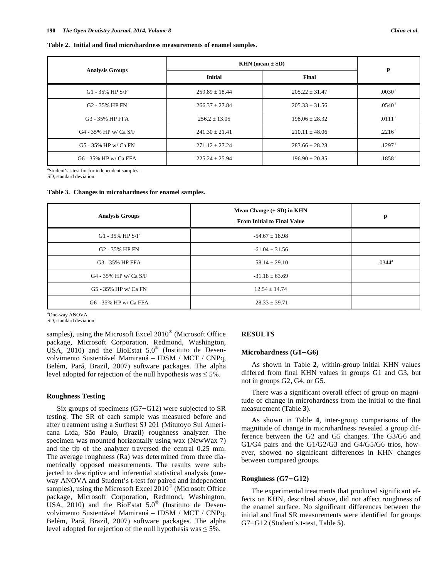#### **Table 2. Initial and final microhardness measurements of enamel samples.**

|                            | KHN (mean $\pm$ SD) | P                  |                    |  |
|----------------------------|---------------------|--------------------|--------------------|--|
| <b>Analysis Groups</b>     | <b>Initial</b>      | Final              |                    |  |
| $G1 - 35\%$ HP S/F         | $259.89 \pm 18.44$  | $205.22 \pm 31.47$ | .0030 <sup>a</sup> |  |
| G <sub>2</sub> - 35% HP FN | $266.37 \pm 27.84$  | $205.33 \pm 31.56$ | .0540 <sup>a</sup> |  |
| G3 - 35% HP FFA            | $256.2 \pm 13.05$   | $198.06 \pm 28.32$ | .0111 <sup>a</sup> |  |
| G4 - 35% HP w/ Ca S/F      | $241.30 \pm 21.41$  | $210.11 \pm 48.06$ | .2216 <sup>a</sup> |  |
| G5 - 35% HP w/ Ca FN       | $271.12 \pm 27.24$  | $283.66 \pm 28.28$ | .1297 <sup>a</sup> |  |
| G6 - 35% HP w/ Ca FFA      | $225.24 \pm 25.94$  | $196.90 \pm 20.85$ | .1858 <sup>a</sup> |  |

a Student's t-test for for independent samples.

SD, standard deviation.

#### **Table 3. Changes in microhardness for enamel samples.**

| <b>Analysis Groups</b>     | Mean Change $(\pm SD)$ in KHN<br><b>From Initial to Final Value</b> | $\mathbf{p}$    |
|----------------------------|---------------------------------------------------------------------|-----------------|
| $G1 - 35\%$ HP S/F         | $-54.67 \pm 18.98$                                                  |                 |
| G <sub>2</sub> - 35% HP FN | $-61.04 \pm 31.56$                                                  |                 |
| G3 - 35% HP FFA            | $-58.14 \pm 29.10$                                                  | $.0344^{\circ}$ |
| G4 - 35% HP w/ Ca S/F      | $-31.18 \pm 63.69$                                                  |                 |
| G5 - 35% HP w/ Ca FN       | $12.54 \pm 14.74$                                                   |                 |
| G6 - 35% HP w/ Ca FFA      | $-28.33 \pm 39.71$                                                  |                 |

a One-way ANOVA

SD, standard deviation

samples), using the Microsoft Excel 2010® (Microsoft Office package, Microsoft Corporation, Redmond, Washington, USA,  $2010$ ) and the BioEstat  $5.0^\circ$  (Instituto de Desenvolvimento Sustentável Mamirauá – IDSM / MCT / CNPq, Belém, Pará, Brazil, 2007) software packages. The alpha level adopted for rejection of the null hypothesis was  $\leq 5\%$ .

## **Roughness Testing**

Six groups of specimens  $(G7-G12)$  were subjected to SR testing. The SR of each sample was measured before and after treatment using a Surftest SJ 201 (Mitutoyo Sul Americana Ltda, São Paulo, Brazil) roughness analyzer. The specimen was mounted horizontally using wax (NewWax 7) and the tip of the analyzer traversed the central 0.25 mm. The average roughness (Ra) was determined from three diametrically opposed measurements. The results were subjected to descriptive and inferential statistical analysis (oneway ANOVA and Student's t-test for paired and independent samples), using the Microsoft Excel 2010<sup>®</sup> (Microsoft Office package, Microsoft Corporation, Redmond, Washington, USA, 2010) and the BioEstat  $5.0^{\circ}$  (Instituto de Desenvolvimento Sustentável Mamirauá – IDSM / MCT / CNPq, Belém, Pará, Brazil, 2007) software packages. The alpha level adopted for rejection of the null hypothesis was  $\leq 5\%$ .

## **RESULTS**

## Microhardness (G1-G6)

As shown in Table **2**, within-group initial KHN values differed from final KHN values in groups G1 and G3, but not in groups G2, G4, or G5.

There was a significant overall effect of group on magnitude of change in microhardness from the initial to the final measurement (Table **3**).

As shown in Table **4**, inter-group comparisons of the magnitude of change in microhardness revealed a group difference between the G2 and G5 changes. The G3/G6 and G1/G4 pairs and the G1/G2/G3 and G4/G5/G6 trios, however, showed no significant differences in KHN changes between compared groups.

#### **Roughness (G7G12)**

The experimental treatments that produced significant effects on KHN, described above, did not affect roughness of the enamel surface. No significant differences between the initial and final SR measurements were identified for groups G7-G12 (Student's t-test, Table 5).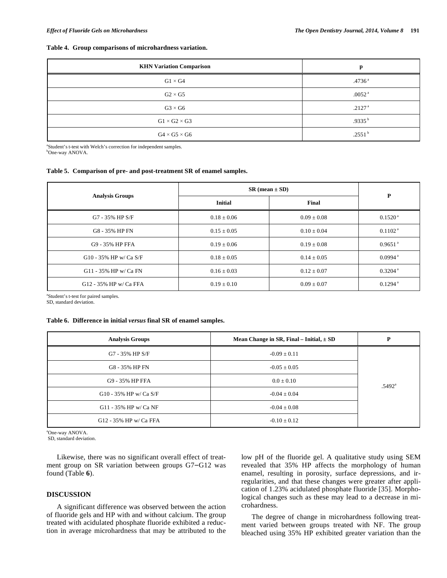#### **Table 4. Group comparisons of microhardness variation.**

| <b>KHN Variation Comparison</b> | D                  |
|---------------------------------|--------------------|
| $G1 \times G4$                  | .4736 <sup>a</sup> |
| $G2 \times G5$                  | .0052 <sup>a</sup> |
| $G3 \times G6$                  | .2127 <sup>a</sup> |
| $G1 \times G2 \times G3$        | .9335 $^{\rm b}$   |
| $G4 \times G5 \times G6$        | .2551 $^{\rm b}$   |

a Student's t-test with Welch's correction for independent samples. <sup>b</sup>One-way ANOVA.

#### **Table 5. Comparison of pre- and post-treatment SR of enamel samples.**

|                        | $SR (mean \pm SD)$ | $\mathbf{P}$    |                       |
|------------------------|--------------------|-----------------|-----------------------|
| <b>Analysis Groups</b> | <b>Initial</b>     | Final           |                       |
| $G7 - 35\%$ HP S/F     | $0.18 \pm 0.06$    | $0.09 \pm 0.08$ | $0.1520^{\text{a}}$   |
| G8 - 35% HP FN         | $0.15 \pm 0.05$    | $0.10 \pm 0.04$ | 0.1102 <sup>a</sup>   |
| G9 - 35% HP FFA        | $0.19 \pm 0.06$    | $0.19 \pm 0.08$ | $0.9651$ <sup>a</sup> |
| G10 - 35% HP w/ Ca S/F | $0.18 \pm 0.05$    | $0.14 \pm 0.05$ | $0.0994$ <sup>a</sup> |
| G11 - 35% HP w/ Ca FN  | $0.16 \pm 0.03$    | $0.12 \pm 0.07$ | $0.3204$ <sup>a</sup> |
| G12 - 35% HP w/ Ca FFA | $0.19 \pm 0.10$    | $0.09 \pm 0.07$ | $0.1294$ <sup>a</sup> |

a Student's t-test for paired samples.

SD, standard deviation.

# **Table 6. Difference in initial** *versus* **final SR of enamel samples.**

| <b>Analysis Groups</b> | Mean Change in SR, Final – Initial, $\pm$ SD | P                  |
|------------------------|----------------------------------------------|--------------------|
| G7 - 35% HP S/F        | $-0.09 \pm 0.11$                             |                    |
| G8 - 35% HP FN         | $-0.05 \pm 0.05$                             |                    |
| G9 - 35% HP FFA        | $0.0 \pm 0.10$                               | .5492 <sup>a</sup> |
| G10 - 35% HP w/Ca S/F  | $-0.04 \pm 0.04$                             |                    |
| G11 - 35% HP w/Ca NF   | $-0.04 \pm 0.08$                             |                    |
| G12 - 35% HP w/ Ca FFA | $-0.10 \pm 0.12$                             |                    |

a One-way ANOVA.

SD, standard deviation.

Likewise, there was no significant overall effect of treatment group on SR variation between groups G7-G12 was found (Table **6**).

# **DISCUSSION**

A significant difference was observed between the action of fluoride gels and HP with and without calcium. The group treated with acidulated phosphate fluoride exhibited a reduction in average microhardness that may be attributed to the low pH of the fluoride gel. A qualitative study using SEM revealed that 35% HP affects the morphology of human enamel, resulting in porosity, surface depressions, and irregularities, and that these changes were greater after application of 1.23% acidulated phosphate fluoride [35]. Morphological changes such as these may lead to a decrease in microhardness.

The degree of change in microhardness following treatment varied between groups treated with NF. The group bleached using 35% HP exhibited greater variation than the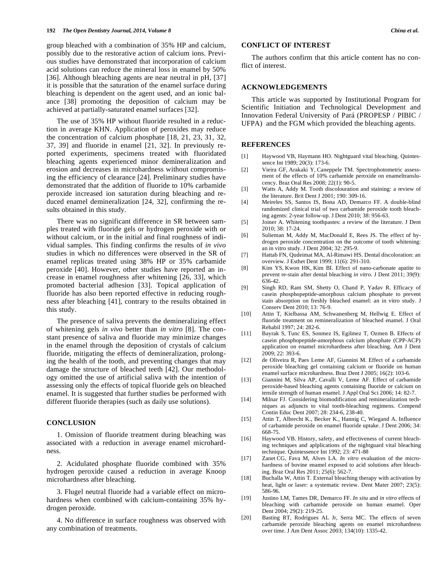group bleached with a combination of 35% HP and calcium, possibly due to the restorative action of calcium ions. Previous studies have demonstrated that incorporation of calcium acid solutions can reduce the mineral loss in enamel by 50% [36]. Although bleaching agents are near neutral in pH, [37] it is possible that the saturation of the enamel surface during bleaching is dependent on the agent used, and an ionic balance [38] promoting the deposition of calcium may be achieved at partially-saturated enamel surfaces [32].

The use of 35% HP without fluoride resulted in a reduction in average KHN. Application of peroxides may reduce the concentration of calcium phosphate [18, 21, 23, 31, 32, 37, 39] and fluoride in enamel [21, 32]. In previously reported experiments, specimens treated with fluoridated bleaching agents experienced minor demineralization and erosion and decreases in microhardness without compromising the efficiency of clearance [24]. Preliminary studies have demonstrated that the addition of fluoride to 10% carbamide peroxide increased ion saturation during bleaching and reduced enamel demineralization [24, 32], confirming the results obtained in this study.

There was no significant difference in SR between samples treated with fluoride gels or hydrogen peroxide with or without calcium, or in the initial and final roughness of individual samples. This finding confirms the results of *in vivo* studies in which no differences were observed in the SR of enamel replicas treated using 38% HP or 35% carbamide peroxide [40]. However, other studies have reported an increase in enamel roughness after whitening [26, 33], which promoted bacterial adhesion [33]. Topical application of fluoride has also been reported effective in reducing roughness after bleaching [41], contrary to the results obtained in this study.

The presence of saliva prevents the demineralizing effect of whitening gels *in vivo* better than *in vitro* [8]. The constant presence of saliva and fluoride may minimize changes in the enamel through the deposition of crystals of calcium fluoride, mitigating the effects of demineralization, prolonging the health of the tooth, and preventing changes that may damage the structure of bleached teeth [42]. Our methodology omitted the use of artificial saliva with the intention of assessing only the effects of topical fluoride gels on bleached enamel. It is suggested that further studies be performed with different fluoride therapies (such as daily use solutions).

#### **CONCLUSION**

1. Omission of fluoride treatment during bleaching was associated with a reduction in average enamel microhardness.

2. Acidulated phosphate fluoride combined with 35% hydrogen peroxide caused a reduction in average Knoop microhardness after bleaching.

3. Flugel neutral fluoride had a variable effect on microhardness when combined with calcium-containing 35% hydrogen peroxide.

4. No difference in surface roughness was observed with any combination of treatments.

# **CONFLICT OF INTEREST**

The authors confirm that this article content has no conflict of interest.

## **ACKNOWLEDGEMENTS**

This article was supported by Institutional Program for Scientific Initiation and Technological Development and Innovation Federal University of Pará (PROPESP / PIBIC / UFPA) and the FGM which provided the bleaching agents.

#### **REFERENCES**

- [1] Haywood VB, Haymann HO. Nightguard vital bleaching. Quintessence Int 1989; 20(3): 173-6.
- [2] Vieira GF, Arakaki Y, Caneppele TM. Spectrophotometric assessment of the effects of 10% carbamide peroxide on enameltranslucency. Braz Oral Res 2008; 22(1): 90-5.
- [3] Watts A, Addy M. Tooth discolouration and staining: a review of the literature. Brit Dent J 2001; 190: 309-16.
- [4] Meireles SS, Santos IS, Bona AD, Demarco FF. A double-blind randomized clinical trial of two carbamide peroxide tooth bleaching agents: 2-year follow-up. J Dent 2010; 38: 956-63.
- [5] Joiner A. Whitening toothpastes: a review of the literature. J Dent 2010; 38: 17-24.
- [6] Sulieman M, Addy M, MacDonald E, Rees JS. The effect of hydrogen peroxide concentration on the outcome of tooth whitening: an in vitro study. J Dent 2004; 32: 295-9.
- [7] Hattab FN, Qudeimat MA, Al-Rimawi HS. Dental discoloration: an overview. J Esthet Dent 1999; 11(6): 291-310.
- [8] Kim YS, Kwon HK, Kim BI. Effect of nano-carbonate apatite to prevent re-stain after dental bleaching *in vitro*. J Dent 2011; 39(9): 636-42.
- [9] Singh RD, Ram SM, Shetty O, Chand P, Yadav R. Efficacy of casein phosphopeptide-amorphous calcium phosphate to prevent stain absorption on freshly bleached enamel: an in vitro study. J Conserv Dent 2010; 13: 76-9.
- [10] Attin T, Kielbassa AM, Schwanenberg M, Hellwig E. Effect of fluoride treatment on remineralization of bleached enamel. J Oral Rehabil 1997; 24: 282-6.
- [11] Bayrak S, Tunc ES, Sonmez IS, Egilmez T, Ozmen B. Effects of casein phosphopeptide-amorphous calcium phosphate (CPP-ACP) application on enamel microhardness after bleaching. Am J Dent  $2009: 22: 393-6$
- [12] de Oliveira R, Paes Leme AF, Giannini M. Effect of a carbamide peroxide bleaching gel containing calcium or fluoride on human enamel surface microhardness. Braz Dent J 2005; 16(2): 103-6.
- [13] Giannini M, Silva AP, Cavalli V, Leme AF. Effect of carbamide peroxide-based bleaching agents containing fluoride or calcium on tensile strength of human enamel. J Appl Oral Sci 2006; 14: 82-7.
- [14] Milnar FJ. Considering biomodification and remineralization techniques as adjuncts to vital tooth-bleaching regimens. Compend Contin Educ Dent 2007; 28: 234-6, 238-40.
- [15] Attin T, Albrecht K., Becker K., Hannig C, Wiegand A. Influence of carbamide peroxide on enamel fluoride uptake. J Dent 2006; 34: 668-75.
- [16] Haywood VB. History, safety, and effectiveness of current bleaching techniques and aplplications of the nightguard vital bleaching technique. Quintessence Int 1992; 23: 471-88
- [17] Zanet CG, Fava M, Alves LA. *In vitro* evaluation of the microhardness of bovine enamel exposed to acid solutions after bleaching. Braz Oral Res 2011; 25(6): 562-7.
- [18] Buchalla W, Attin T. External bleaching therapy with activation by heat, light or laser: a systematic review. Dent Mater 2007; 23(5): 586-96.
- [19] Justino LM, Tames DR, Demarco FF. *In situ* and *in vitro* effects of bleaching with carbamide peroxide on human enamel. Oper Dent 2004; 29(2): 219-25.
- [20] Basting RT, Rodrigues AL Jr, Serra MC. The effects of seven carbamide peroxide bleaching agents on enamel microhardness over time. J Am Dent Assoc 2003; 134(10): 1335-42.